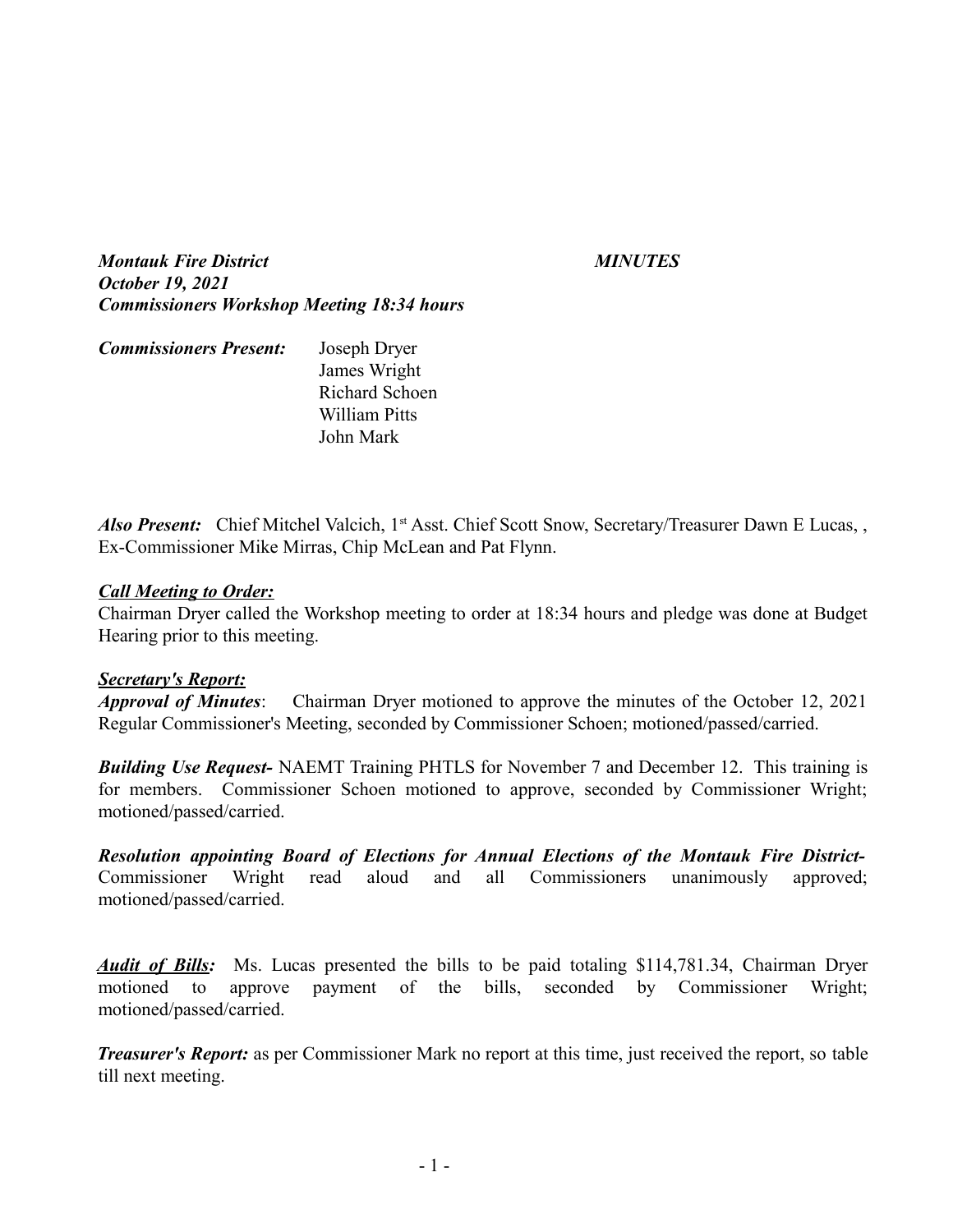*Montauk Fire District MINUTES October 19, 2021 Commissioners Workshop Meeting 18:34 hours*

| <b>Commissioners Present:</b> | Joseph Dryer   |
|-------------------------------|----------------|
|                               | James Wright   |
|                               | Richard Schoen |
|                               | William Pitts  |
|                               | John Mark      |

*Also Present:* Chief Mitchel Valcich, 1<sup>st</sup> Asst. Chief Scott Snow, Secretary/Treasurer Dawn E Lucas, Ex-Commissioner Mike Mirras, Chip McLean and Pat Flynn.

### *Call Meeting to Order:*

Chairman Dryer called the Workshop meeting to order at 18:34 hours and pledge was done at Budget Hearing prior to this meeting.

### *Secretary's Report:*

*Approval of Minutes*: Chairman Dryer motioned to approve the minutes of the October 12, 2021 Regular Commissioner's Meeting, seconded by Commissioner Schoen; motioned/passed/carried.

*Building Use Request-* NAEMT Training PHTLS for November 7 and December 12. This training is for members. Commissioner Schoen motioned to approve, seconded by Commissioner Wright; motioned/passed/carried.

*Resolution appointing Board of Elections for Annual Elections of the Montauk Fire District-*Commissioner Wright read aloud and all Commissioners unanimously approved; motioned/passed/carried.

*Audit of Bills:* Ms. Lucas presented the bills to be paid totaling \$114,781.34, Chairman Dryer motioned to approve payment of the bills, seconded by Commissioner Wright; motioned/passed/carried.

*Treasurer's Report:* as per Commissioner Mark no report at this time, just received the report, so table till next meeting.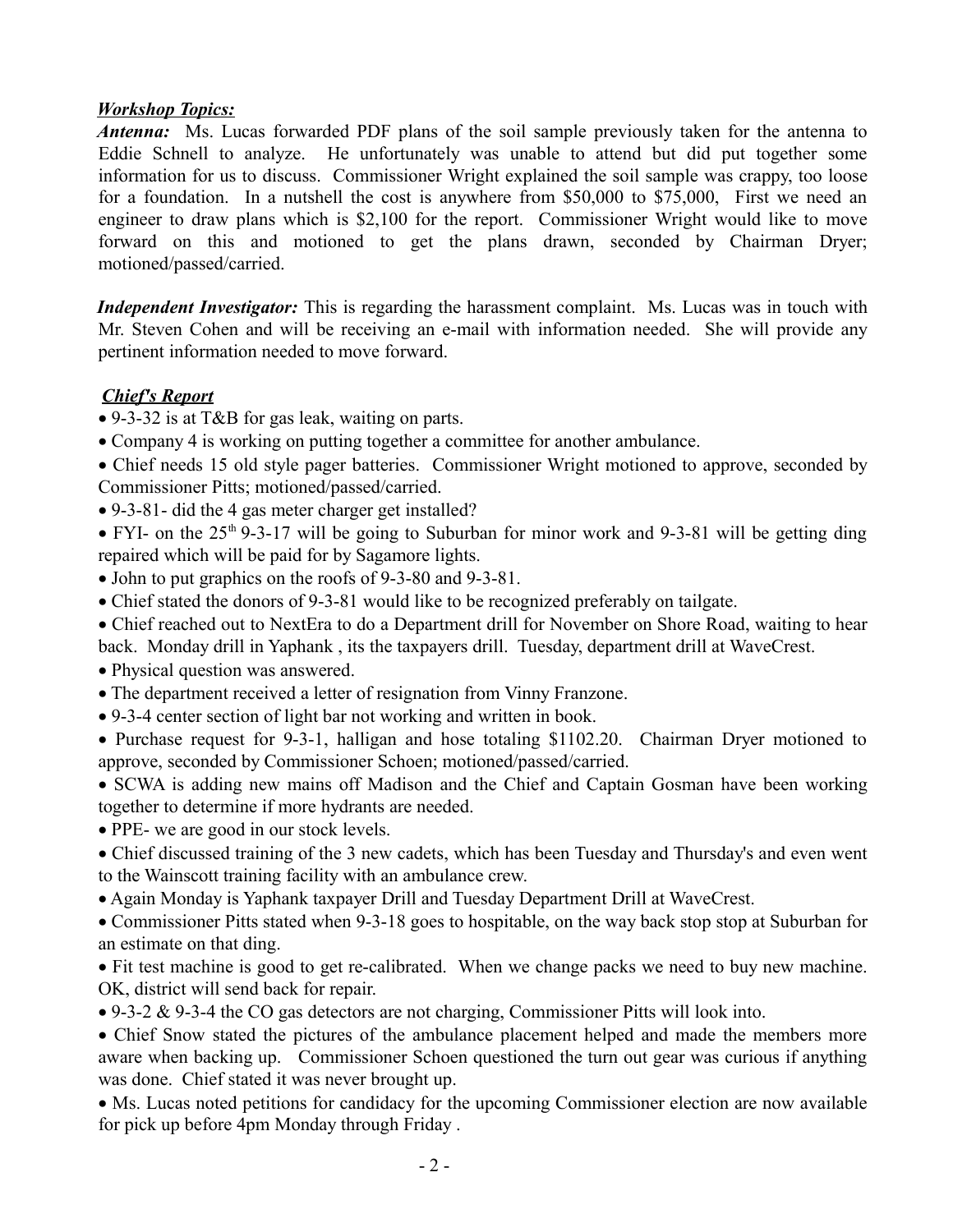## *Workshop Topics:*

*Antenna:* Ms. Lucas forwarded PDF plans of the soil sample previously taken for the antenna to Eddie Schnell to analyze. He unfortunately was unable to attend but did put together some information for us to discuss. Commissioner Wright explained the soil sample was crappy, too loose for a foundation. In a nutshell the cost is anywhere from \$50,000 to \$75,000, First we need an engineer to draw plans which is \$2,100 for the report. Commissioner Wright would like to move forward on this and motioned to get the plans drawn, seconded by Chairman Dryer; motioned/passed/carried.

*Independent Investigator:* This is regarding the harassment complaint. Ms. Lucas was in touch with Mr. Steven Cohen and will be receiving an e-mail with information needed. She will provide any pertinent information needed to move forward.

# *Chief's Report*

- · 9-3-32 is at T&B for gas leak, waiting on parts.
- · Company 4 is working on putting together a committee for another ambulance.
- Chief needs 15 old style pager batteries. Commissioner Wright motioned to approve, seconded by Commissioner Pitts; motioned/passed/carried.
- · 9-3-81- did the 4 gas meter charger get installed?
- FYI- on the  $25<sup>th</sup>$  9-3-17 will be going to Suburban for minor work and 9-3-81 will be getting ding repaired which will be paid for by Sagamore lights.
- John to put graphics on the roofs of 9-3-80 and 9-3-81.
- Chief stated the donors of 9-3-81 would like to be recognized preferably on tailgate.
- · Chief reached out to NextEra to do a Department drill for November on Shore Road, waiting to hear back. Monday drill in Yaphank , its the taxpayers drill. Tuesday, department drill at WaveCrest.
- · Physical question was answered.
- · The department received a letter of resignation from Vinny Franzone.
- · 9-3-4 center section of light bar not working and written in book.
- · Purchase request for 9-3-1, halligan and hose totaling \$1102.20. Chairman Dryer motioned to approve, seconded by Commissioner Schoen; motioned/passed/carried.

· SCWA is adding new mains off Madison and the Chief and Captain Gosman have been working together to determine if more hydrants are needed.

• PPE- we are good in our stock levels.

- · Chief discussed training of the 3 new cadets, which has been Tuesday and Thursday's and even went to the Wainscott training facility with an ambulance crew.
- · Again Monday is Yaphank taxpayer Drill and Tuesday Department Drill at WaveCrest.

· Commissioner Pitts stated when 9-3-18 goes to hospitable, on the way back stop stop at Suburban for an estimate on that ding.

· Fit test machine is good to get re-calibrated. When we change packs we need to buy new machine. OK, district will send back for repair.

· 9-3-2 & 9-3-4 the CO gas detectors are not charging, Commissioner Pitts will look into.

· Chief Snow stated the pictures of the ambulance placement helped and made the members more aware when backing up. Commissioner Schoen questioned the turn out gear was curious if anything was done. Chief stated it was never brought up.

· Ms. Lucas noted petitions for candidacy for the upcoming Commissioner election are now available for pick up before 4pm Monday through Friday .